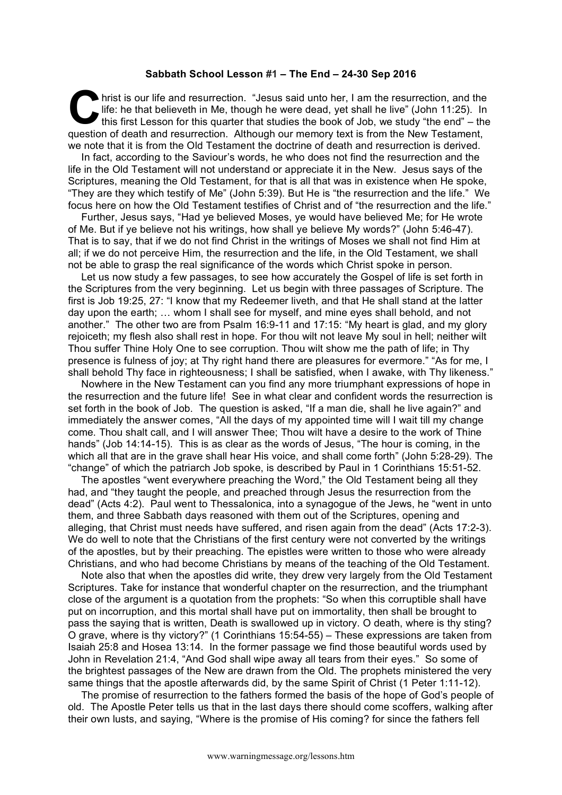## **Sabbath School Lesson #1 – The End – 24-30 Sep 2016**

hrist is our life and resurrection. "Jesus said unto her, I am the resurrection, and the life: he that believeth in Me, though he were dead, yet shall he live" (John 11:25). In this first Lesson for this quarter that studies the book of Job, we study "the end" – the question of death and resurrection. Although our memory text is from the New Testament, we note that it is from the Old Testament the doctrine of death and resurrection is derived. **C** life

In fact, according to the Saviour's words, he who does not find the resurrection and the life in the Old Testament will not understand or appreciate it in the New. Jesus says of the Scriptures, meaning the Old Testament, for that is all that was in existence when He spoke, "They are they which testify of Me" (John 5:39). But He is "the resurrection and the life." We focus here on how the Old Testament testifies of Christ and of "the resurrection and the life."

Further, Jesus says, "Had ye believed Moses, ye would have believed Me; for He wrote of Me. But if ye believe not his writings, how shall ye believe My words?" (John 5:46-47). That is to say, that if we do not find Christ in the writings of Moses we shall not find Him at all; if we do not perceive Him, the resurrection and the life, in the Old Testament, we shall not be able to grasp the real significance of the words which Christ spoke in person.

Let us now study a few passages, to see how accurately the Gospel of life is set forth in the Scriptures from the very beginning. Let us begin with three passages of Scripture. The first is Job 19:25, 27: "I know that my Redeemer liveth, and that He shall stand at the latter day upon the earth; … whom I shall see for myself, and mine eyes shall behold, and not another." The other two are from Psalm 16:9-11 and 17:15: "My heart is glad, and my glory rejoiceth; my flesh also shall rest in hope. For thou wilt not leave My soul in hell; neither wilt Thou suffer Thine Holy One to see corruption. Thou wilt show me the path of life; in Thy presence is fulness of joy; at Thy right hand there are pleasures for evermore." "As for me, I shall behold Thy face in righteousness; I shall be satisfied, when I awake, with Thy likeness."

Nowhere in the New Testament can you find any more triumphant expressions of hope in the resurrection and the future life! See in what clear and confident words the resurrection is set forth in the book of Job. The question is asked, "If a man die, shall he live again?" and immediately the answer comes, "All the days of my appointed time will I wait till my change come. Thou shalt call, and I will answer Thee; Thou wilt have a desire to the work of Thine hands" (Job 14:14-15). This is as clear as the words of Jesus, "The hour is coming, in the which all that are in the grave shall hear His voice, and shall come forth" (John 5:28-29). The "change" of which the patriarch Job spoke, is described by Paul in 1 Corinthians 15:51-52.

The apostles "went everywhere preaching the Word," the Old Testament being all they had, and "they taught the people, and preached through Jesus the resurrection from the dead" (Acts 4:2). Paul went to Thessalonica, into a synagogue of the Jews, he "went in unto them, and three Sabbath days reasoned with them out of the Scriptures, opening and alleging, that Christ must needs have suffered, and risen again from the dead" (Acts 17:2-3). We do well to note that the Christians of the first century were not converted by the writings of the apostles, but by their preaching. The epistles were written to those who were already Christians, and who had become Christians by means of the teaching of the Old Testament.

Note also that when the apostles did write, they drew very largely from the Old Testament Scriptures. Take for instance that wonderful chapter on the resurrection, and the triumphant close of the argument is a quotation from the prophets: "So when this corruptible shall have put on incorruption, and this mortal shall have put on immortality, then shall be brought to pass the saying that is written, Death is swallowed up in victory. O death, where is thy sting? O grave, where is thy victory?" (1 Corinthians 15:54-55) – These expressions are taken from Isaiah 25:8 and Hosea 13:14. In the former passage we find those beautiful words used by John in Revelation 21:4, "And God shall wipe away all tears from their eyes." So some of the brightest passages of the New are drawn from the Old. The prophets ministered the very same things that the apostle afterwards did, by the same Spirit of Christ (1 Peter 1:11-12).

The promise of resurrection to the fathers formed the basis of the hope of God's people of old. The Apostle Peter tells us that in the last days there should come scoffers, walking after their own lusts, and saying, "Where is the promise of His coming? for since the fathers fell